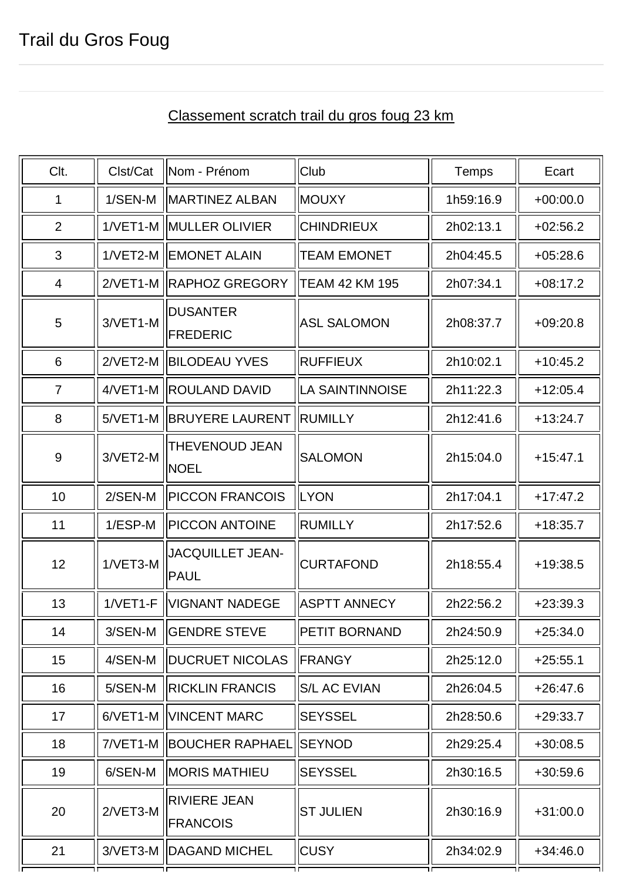## Clt. || Clst/Cat ||Nom - Prénom || Club || Temps || Ecart 1 || 1/SEN-M ||MARTINEZ ALBAN ||MOUXY || 1h59:16.9 || +00:00.0 2 1/VET1-M MULLER OLIVIER CHINDRIEUX 1 2h02:13.1 +02:56.2  $3$  1/VET2-M IEMONET ALAIN ITEAM EMONET 12h04:45.5  $\parallel$  +05:28.6 4 | 2/VET1-M RAPHOZ GREGORY TEAM 42 KM 195 | 2h07:34.1 | +08:17.2 5 3/VET1-M **DUSANTER** FREDERIC ASL SALOMON 2h08:37.7 +09:20.8 6  $\parallel$  2/VET2-M BILODEAU YVES  $\parallel$  RUFFIEUX  $\parallel$  2h10:02.1  $\parallel$  +10:45.2 7 H4/VET1-M ROULAND DAVID LA SAINTINNOISE LE 2h11:22.3 LE +12:05.4 8 SMET1-M BRUYERE LAURENT RUMILLY The 2h12:41.6 SMET1-M 21-13:24.7 9  $\parallel$  3/VET2-M THEVENOUD JEAN NOEL SALOMON 2h15:04.0 +15:47.1 10 10 2/SEN-M PICCON FRANCOIS ILYON 10 2h17:04.1 1 +17:47.2 11 1/ESP-M PICCON ANTOINE RUMILLY 2h17:52.6 +18:35.7 12 1/VET3-M JACQUILLET JEAN-PAUL  $CURTAFOND$   $||$  2h18:55.4  $||$  +19:38.5 13 || 1/VET1-F ||VIGNANT NADEGE ||ASPTT ANNECY || 2h22:56.2 || +23:39.3 14 | 3/SEN-M | GENDRE STEVE | PETIT BORNAND | 2h24:50.9 | +25:34.0 15 || 4/SEN-M ||DUCRUET NICOLAS ||FRANGY || 2h25:12.0 || +25:55.1 16 | 5/SEN-M | RICKLIN FRANCIS | S/L AC EVIAN | 2h26:04.5 | +26:47.6 17 6/VET1-M VINCENT MARC SEYSSEL 2h28:50.6 +29:33.7 18 | | 7/VET1-M ||BOUCHER RAPHAEL ||SEYNOD || 2h29:25.4 || +30:08.5 19 6/SEN-M MORIS MATHIEU SEYSSEL 2h30:16.5 +30:59.6 20  $\parallel$  2/VET3-M RIVIERE JEAN FRANCOIS ST JULIEN  $\parallel$  2h30:16.9  $\parallel$  +31:00.0

21 3/VET3-M DAGAND MICHEL CUSY 2h34:02.9 +34:46.0

## Classement scratch trail du gros foug 23 km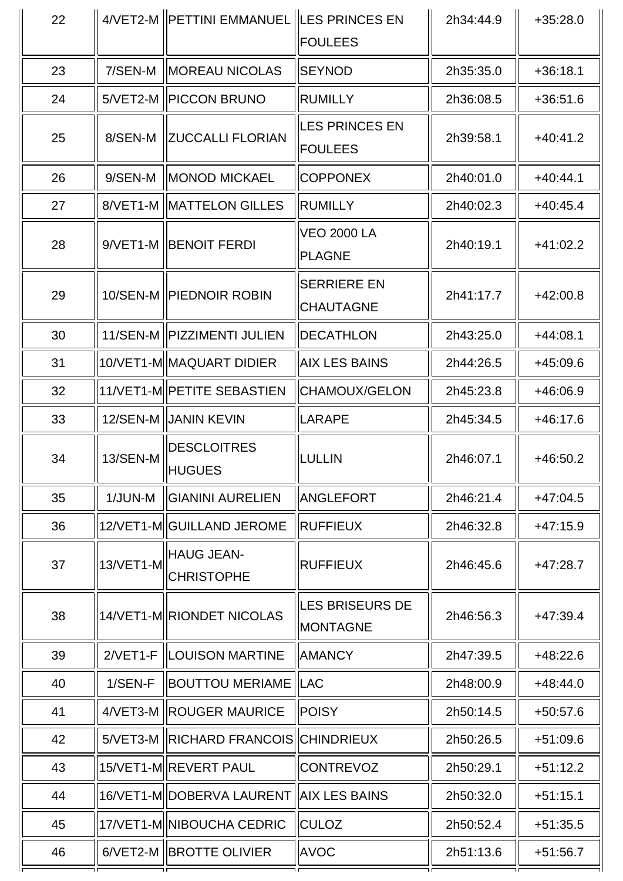| 22 |            | 4/VET2-M   PETTINI EMMANUEL   LES PRINCES EN | 2h34:44.9<br><b>FOULEES</b>               |           | $+35:28.0$ |
|----|------------|----------------------------------------------|-------------------------------------------|-----------|------------|
| 23 | 7/SEN-M    | <b>MOREAU NICOLAS</b>                        | <b>SEYNOD</b>                             | 2h35:35.0 | $+36:18.1$ |
| 24 |            | 5/VET2-M   PICCON BRUNO                      | RUMILLY                                   | 2h36:08.5 | $+36:51.6$ |
| 25 | 8/SEN-M    | <b>ZUCCALLI FLORIAN</b>                      | <b>LES PRINCES EN</b><br><b>FOULEES</b>   | 2h39:58.1 | $+40:41.2$ |
| 26 | 9/SEN-M    | <b>IMONOD MICKAEL</b>                        | <b>COPPONEX</b>                           | 2h40:01.0 | $+40:44.1$ |
| 27 |            | 8/VET1-M   MATTELON GILLES                   | <b>RUMILLY</b>                            | 2h40:02.3 | $+40:45.4$ |
| 28 |            | 9/VET1-M BENOIT FERDI                        | <b>VEO 2000 LA</b><br>PLAGNE              | 2h40:19.1 | $+41:02.2$ |
| 29 |            | 10/SEN-M   PIEDNOIR ROBIN                    | <b>SERRIERE EN</b><br><b>CHAUTAGNE</b>    | 2h41:17.7 | $+42:00.8$ |
| 30 |            | 11/SEN-M   PIZZIMENTI JULIEN                 | DECATHLON                                 | 2h43:25.0 | $+44:08.1$ |
| 31 |            | 10/VET1-M MAQUART DIDIER                     | <b>AIX LES BAINS</b>                      | 2h44:26.5 | $+45:09.6$ |
| 32 |            | 11/VET1-M  PETITE SEBASTIEN                  | CHAMOUX/GELON                             | 2h45:23.8 | $+46:06.9$ |
| 33 |            | 12/SEN-M   JANIN KEVIN                       | LARAPE                                    | 2h45:34.5 | $+46:17.6$ |
| 34 | 13/SEN-M   | <b>DESCLOITRES</b><br><b>HUGUES</b>          | LULLIN                                    | 2h46:07.1 | $+46:50.2$ |
| 35 | 1/JUN-M    | <b>GIANINI AURELIEN</b>                      | ANGLEFORT                                 | 2h46:21.4 | $+47:04.5$ |
| 36 |            | 12/VET1-M GUILLAND JEROME                    | <b>RUFFIEUX</b>                           | 2h46:32.8 | $+47:15.9$ |
| 37 | 13/VET1-M  | <b>HAUG JEAN-</b><br><b>CHRISTOPHE</b>       | RUFFIEUX                                  | 2h46:45.6 | $+47:28.7$ |
| 38 |            | 14/VET1-M RIONDET NICOLAS                    | <b>LES BRISEURS DE</b><br><b>MONTAGNE</b> | 2h46:56.3 | $+47:39.4$ |
| 39 | $2/VET1-F$ | <b>ILOUISON MARTINE</b>                      | <b>AMANCY</b>                             | 2h47:39.5 | $+48:22.6$ |
| 40 | 1/SEN-F    | <b>BOUTTOU MERIAME  LAC</b>                  |                                           | 2h48:00.9 | $+48:44.0$ |
| 41 |            | 4/VET3-M   ROUGER MAURICE                    | <b>POISY</b>                              | 2h50:14.5 | $+50:57.6$ |
| 42 |            | 5/VET3-M   RICHARD FRANCOIS   CHINDRIEUX     |                                           | 2h50:26.5 | $+51:09.6$ |
| 43 |            | 15/VET1-M REVERT PAUL                        | <b>CONTREVOZ</b>                          | 2h50:29.1 | $+51:12.2$ |
| 44 |            | 16/VET1-M DOBERVA LAURENT AIX LES BAINS      |                                           | 2h50:32.0 | $+51:15.1$ |
| 45 |            | 17/VET1-M  NIBOUCHA CEDRIC                   | <b>CULOZ</b>                              | 2h50:52.4 | $+51:35.5$ |
| 46 |            | 6/VET2-M   BROTTE OLIVIER                    | <b>AVOC</b>                               | 2h51:13.6 | $+51:56.7$ |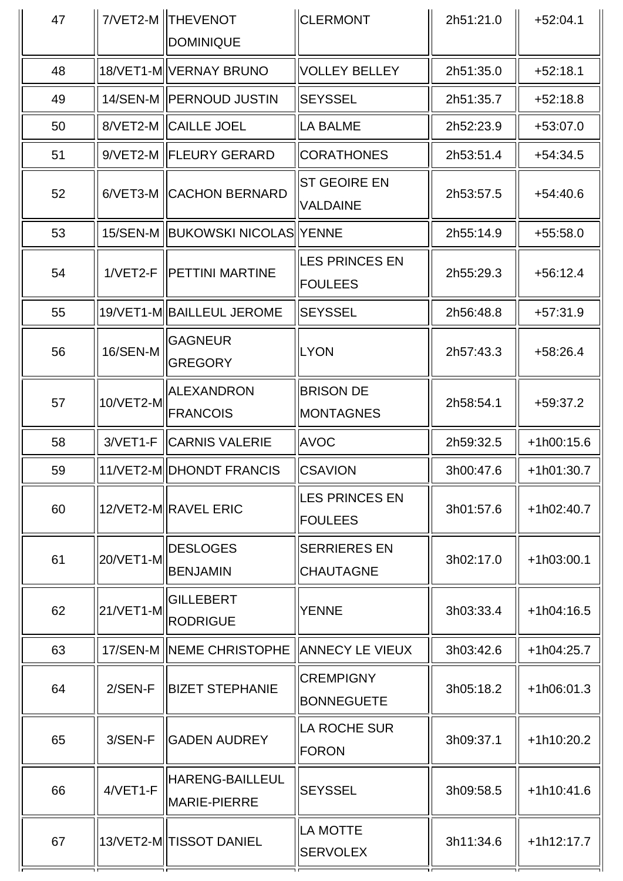| 47 |           | 7/VET2-M   THEVENOT<br><b>DOMINIQUE</b> | <b>CLERMONT</b>                         | 2h51:21.0 | $+52:04.1$   |
|----|-----------|-----------------------------------------|-----------------------------------------|-----------|--------------|
| 48 |           | 18/VET1-M  VERNAY BRUNO                 | VOLLEY BELLEY                           | 2h51:35.0 | $+52:18.1$   |
| 49 |           | 14/SEN-M   PERNOUD JUSTIN               | <b>SEYSSEL</b>                          | 2h51:35.7 | $+52:18.8$   |
| 50 |           | 8/VET2-M   CAILLE JOEL                  | LA BALME                                | 2h52:23.9 | $+53:07.0$   |
| 51 |           | 9/VET2-M   FLEURY GERARD                | <b>CORATHONES</b>                       | 2h53:51.4 | $+54:34.5$   |
| 52 |           | 6/VET3-M CACHON BERNARD                 | <b>ST GEOIRE EN</b><br><b>VALDAINE</b>  | 2h53:57.5 | $+54:40.6$   |
| 53 |           | 15/SEN-M   BUKOWSKI NICOLAS  YENNE      |                                         | 2h55:14.9 | $+55:58.0$   |
| 54 |           | 1/VET2-F   PETTINI MARTINE              | <b>LES PRINCES EN</b><br><b>FOULEES</b> | 2h55:29.3 | $+56:12.4$   |
| 55 |           | 19/VET1-M BAILLEUL JEROME               | <b>SEYSSEL</b>                          | 2h56:48.8 | $+57:31.9$   |
| 56 | 16/SEN-M  | <b>GAGNEUR</b><br><b>GREGORY</b>        | LYON                                    | 2h57:43.3 | $+58:26.4$   |
| 57 | 10/VET2-M | ALEXANDRON<br><b>FRANCOIS</b>           | <b>BRISON DE</b><br><b>MONTAGNES</b>    | 2h58:54.1 | $+59:37.2$   |
| 58 | 3/VET1-F  | <b>CARNIS VALERIE</b>                   | <b>AVOC</b>                             | 2h59:32.5 | $+1h00:15.6$ |
| 59 |           | 11/VET2-M DHONDT FRANCIS                | <b>CSAVION</b>                          | 3h00:47.6 | $+1h01:30.7$ |
| 60 |           | 12/VET2-M RAVEL ERIC                    | <b>LES PRINCES EN</b><br><b>FOULEES</b> | 3h01:57.6 | $+1h02:40.7$ |
| 61 | 20/VET1-M | <b>DESLOGES</b><br><b>BENJAMIN</b>      | <b>SERRIERES EN</b><br><b>CHAUTAGNE</b> | 3h02:17.0 | $+1h03:00.1$ |
| 62 | 21/VET1-M | <b>GILLEBERT</b><br><b>RODRIGUE</b>     | <b>YENNE</b>                            | 3h03:33.4 | $+1h04:16.5$ |
| 63 |           | 17/SEN-M   NEME CHRISTOPHE              | <b>ANNECY LE VIEUX</b>                  | 3h03:42.6 | +1h04:25.7   |
| 64 | $2/SEN-F$ | <b>BIZET STEPHANIE</b>                  | <b>CREMPIGNY</b><br><b>BONNEGUETE</b>   | 3h05:18.2 | $+1h06:01.3$ |
| 65 | 3/SEN-F   | <b>GADEN AUDREY</b>                     | LA ROCHE SUR<br><b>FORON</b>            | 3h09:37.1 | +1h10:20.2   |
| 66 | 4/VET1-F  | HARENG-BAILLEUL<br>MARIE-PIERRE         | <b>SEYSSEL</b>                          | 3h09:58.5 | $+1h10:41.6$ |
| 67 |           | 13/VET2-M  TISSOT DANIEL                | LA MOTTE<br><b>SERVOLEX</b>             | 3h11:34.6 | $+1h12:17.7$ |
|    |           |                                         |                                         |           |              |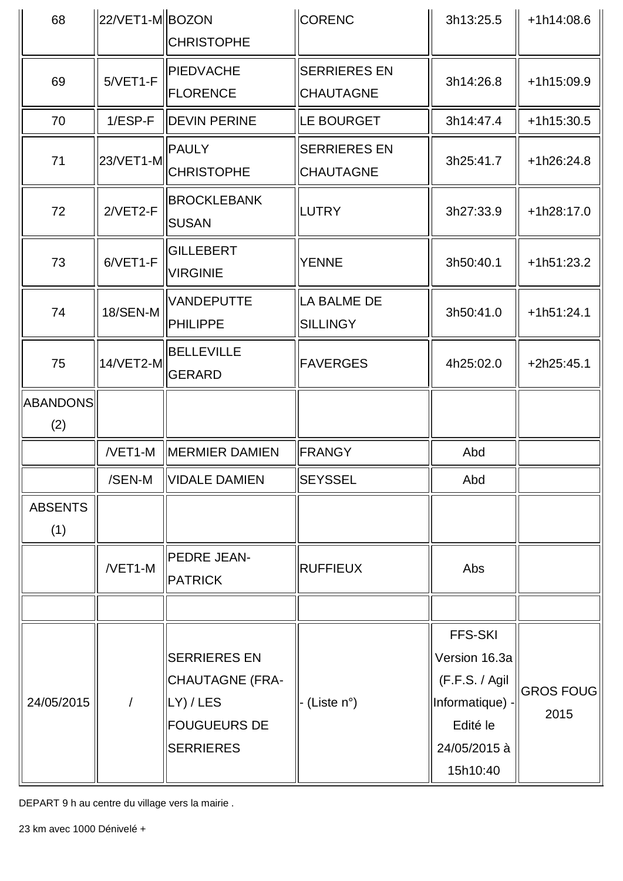| 68              | $ 22/VET1-M  BOZON$ |                                    | CORENC<br>3h13:25.5 |                 | $+1h14:08.6$     |  |
|-----------------|---------------------|------------------------------------|---------------------|-----------------|------------------|--|
|                 |                     | <b>CHRISTOPHE</b>                  |                     |                 |                  |  |
| 69              | $5/VET1-F$          | PIEDVACHE                          | <b>SERRIERES EN</b> |                 | +1h15:09.9       |  |
|                 |                     | <b>FLORENCE</b>                    | <b>CHAUTAGNE</b>    | 3h14:26.8       |                  |  |
| 70              | $1/ESP-F$           | <b>DEVIN PERINE</b>                | LE BOURGET          | 3h14:47.4       | +1h15:30.5       |  |
|                 |                     | <b>PAULY</b>                       | <b>SERRIERES EN</b> |                 |                  |  |
| 71              | 23/VET1-M           | <b>CHRISTOPHE</b>                  | <b>CHAUTAGNE</b>    | 3h25:41.7       | $+1h26:24.8$     |  |
| 72              | 2/VET2-F            | <b>BROCKLEBANK</b><br><b>SUSAN</b> | LUTRY               | 3h27:33.9       | $+1h28:17.0$     |  |
| 73              | 6/VET1-F            | GILLEBERT<br><b>VIRGINIE</b>       | <b>YENNE</b>        | 3h50:40.1       | $+1h51:23.2$     |  |
| 74              | 18/SEN-M            | <b>VANDEPUTTE</b>                  | LA BALME DE         | 3h50:41.0       | $+1h51:24.1$     |  |
|                 |                     | <b>PHILIPPE</b>                    | <b>SILLINGY</b>     |                 |                  |  |
| 75              | 14/VET2-M           | BELLEVILLE<br><b>GERARD</b>        | <b>FAVERGES</b>     | 4h25:02.0       | $+2h25:45.1$     |  |
| <b>ABANDONS</b> |                     |                                    |                     |                 |                  |  |
| (2)             |                     |                                    |                     |                 |                  |  |
|                 | /VET1-M             | <b>MERMIER DAMIEN</b>              | FRANGY              | Abd             |                  |  |
|                 | /SEN-M              | VIDALE DAMIEN                      | ∣SEYSSEL            | Abd             |                  |  |
| <b>ABSENTS</b>  |                     |                                    |                     |                 |                  |  |
| (1)             |                     |                                    |                     |                 |                  |  |
|                 | /VET1-M             | PEDRE JEAN-                        | <b>RUFFIEUX</b>     | Abs             |                  |  |
|                 |                     | <b>PATRICK</b>                     |                     |                 |                  |  |
|                 |                     |                                    |                     |                 |                  |  |
|                 |                     |                                    |                     | <b>FFS-SKI</b>  |                  |  |
|                 |                     | <b>SERRIERES EN</b>                |                     | Version 16.3a   |                  |  |
|                 |                     | <b>CHAUTAGNE (FRA-</b>             |                     | (F.F.S. / Agil  | <b>GROS FOUG</b> |  |
| 24/05/2015      |                     | LY) / LES                          | - (Liste n°)        | Informatique) - | 2015             |  |
|                 |                     | <b>FOUGUEURS DE</b>                |                     | Edité le        |                  |  |
|                 |                     | <b>SERRIERES</b>                   |                     | 24/05/2015 à    |                  |  |
|                 |                     |                                    |                     | 15h10:40        |                  |  |

DEPART 9 h au centre du village vers la mairie .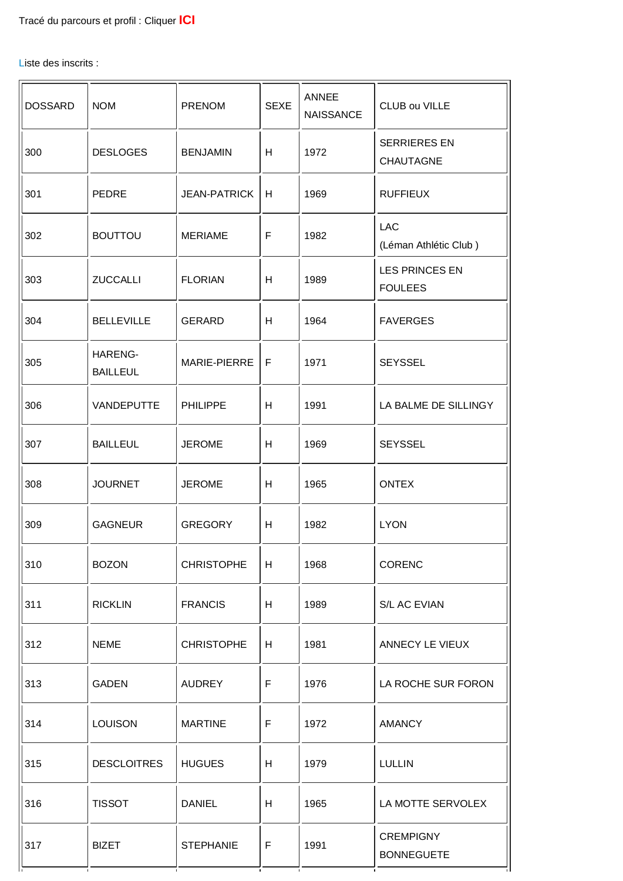Liste des inscrits :

| <b>DOSSARD</b> | <b>NOM</b>                 | <b>PRENOM</b>       | <b>SEXE</b> | <b>ANNEE</b><br><b>NAISSANCE</b> | CLUB ou VILLE                           |
|----------------|----------------------------|---------------------|-------------|----------------------------------|-----------------------------------------|
| 300            | <b>DESLOGES</b>            | <b>BENJAMIN</b>     | H           | 1972                             | <b>SERRIERES EN</b><br><b>CHAUTAGNE</b> |
| 301            | <b>PEDRE</b>               | <b>JEAN-PATRICK</b> | н           | 1969                             | <b>RUFFIEUX</b>                         |
| 302            | <b>BOUTTOU</b>             | <b>MERIAME</b>      | F           | 1982                             | <b>LAC</b><br>(Léman Athlétic Club)     |
| 303            | <b>ZUCCALLI</b>            | <b>FLORIAN</b>      | H           | 1989                             | <b>LES PRINCES EN</b><br><b>FOULEES</b> |
| 304            | <b>BELLEVILLE</b>          | <b>GERARD</b>       | н           | 1964                             | <b>FAVERGES</b>                         |
| 305            | HARENG-<br><b>BAILLEUL</b> | MARIE-PIERRE        | F           | 1971                             | <b>SEYSSEL</b>                          |
| 306            | VANDEPUTTE                 | <b>PHILIPPE</b>     | H           | 1991                             | LA BALME DE SILLINGY                    |
| 307            | <b>BAILLEUL</b>            | <b>JEROME</b>       | H           | 1969                             | <b>SEYSSEL</b>                          |
| 308            | <b>JOURNET</b>             | <b>JEROME</b>       | н           | 1965                             | <b>ONTEX</b>                            |
| 309            | <b>GAGNEUR</b>             | <b>GREGORY</b>      | H           | 1982                             | <b>LYON</b>                             |
| 310            | <b>BOZON</b>               | <b>CHRISTOPHE</b>   | H           | 1968                             | CORENC                                  |
| 311            | <b>RICKLIN</b>             | <b>FRANCIS</b>      | H           | 1989                             | S/L AC EVIAN                            |
| 312            | <b>NEME</b>                | <b>CHRISTOPHE</b>   | H           | 1981                             | ANNECY LE VIEUX                         |
| 313            | <b>GADEN</b>               | <b>AUDREY</b>       | F           | 1976                             | LA ROCHE SUR FORON                      |
| 314            | <b>LOUISON</b>             | <b>MARTINE</b>      | F           | 1972                             | <b>AMANCY</b>                           |
| 315            | <b>DESCLOITRES</b>         | <b>HUGUES</b>       | H           | 1979                             | <b>LULLIN</b>                           |
| 316            | <b>TISSOT</b>              | <b>DANIEL</b>       | H           | 1965                             | LA MOTTE SERVOLEX                       |
| 317            | <b>BIZET</b>               | <b>STEPHANIE</b>    | $\mathsf F$ | 1991                             | <b>CREMPIGNY</b><br><b>BONNEGUETE</b>   |
|                |                            |                     |             |                                  |                                         |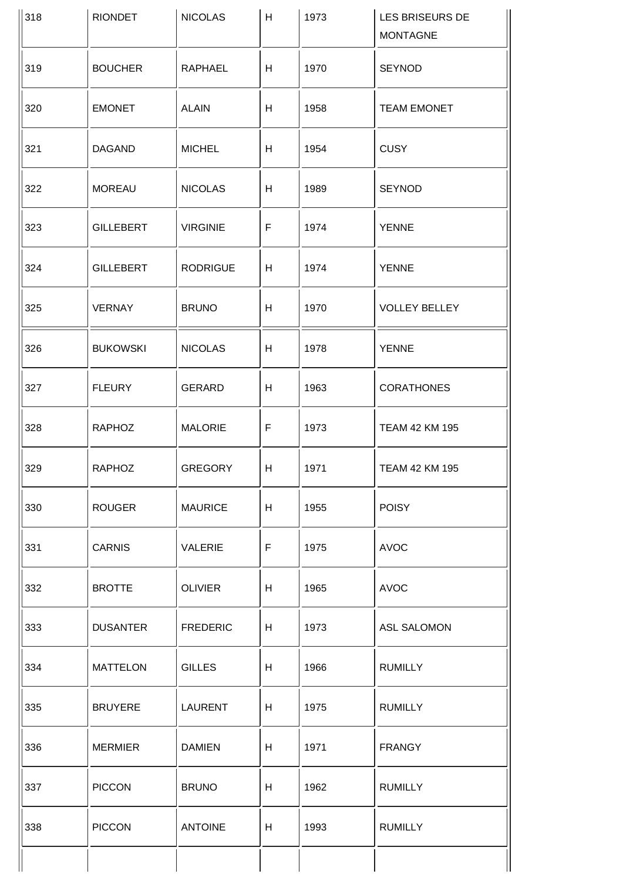| 318 | <b>RIONDET</b>   | <b>NICOLAS</b>  | H  | 1973 | LES BRISEURS DE<br><b>MONTAGNE</b> |
|-----|------------------|-----------------|----|------|------------------------------------|
| 319 | <b>BOUCHER</b>   | RAPHAEL         | H  | 1970 | <b>SEYNOD</b>                      |
| 320 | <b>EMONET</b>    | <b>ALAIN</b>    | H  | 1958 | <b>TEAM EMONET</b>                 |
| 321 | <b>DAGAND</b>    | <b>MICHEL</b>   | H  | 1954 | <b>CUSY</b>                        |
| 322 | <b>MOREAU</b>    | <b>NICOLAS</b>  | H  | 1989 | <b>SEYNOD</b>                      |
| 323 | <b>GILLEBERT</b> | <b>VIRGINIE</b> | F  | 1974 | <b>YENNE</b>                       |
| 324 | <b>GILLEBERT</b> | <b>RODRIGUE</b> | H  | 1974 | <b>YENNE</b>                       |
| 325 | <b>VERNAY</b>    | <b>BRUNO</b>    | H  | 1970 | <b>VOLLEY BELLEY</b>               |
| 326 | <b>BUKOWSKI</b>  | <b>NICOLAS</b>  | H  | 1978 | <b>YENNE</b>                       |
| 327 | <b>FLEURY</b>    | <b>GERARD</b>   | H  | 1963 | <b>CORATHONES</b>                  |
| 328 | <b>RAPHOZ</b>    | <b>MALORIE</b>  | F  | 1973 | TEAM 42 KM 195                     |
| 329 | <b>RAPHOZ</b>    | <b>GREGORY</b>  | H  | 1971 | TEAM 42 KM 195                     |
| 330 | <b>ROUGER</b>    | <b>MAURICE</b>  | H  | 1955 | <b>POISY</b>                       |
| 331 | <b>CARNIS</b>    | <b>VALERIE</b>  | F  | 1975 | <b>AVOC</b>                        |
| 332 | <b>BROTTE</b>    | <b>OLIVIER</b>  | H. | 1965 | <b>AVOC</b>                        |
| 333 | <b>DUSANTER</b>  | <b>FREDERIC</b> | H  | 1973 | <b>ASL SALOMON</b>                 |
| 334 | <b>MATTELON</b>  | <b>GILLES</b>   | H  | 1966 | <b>RUMILLY</b>                     |
| 335 | <b>BRUYERE</b>   | <b>LAURENT</b>  | H  | 1975 | <b>RUMILLY</b>                     |
| 336 | <b>MERMIER</b>   | <b>DAMIEN</b>   | H  | 1971 | <b>FRANGY</b>                      |
| 337 | <b>PICCON</b>    | <b>BRUNO</b>    | H  | 1962 | <b>RUMILLY</b>                     |
| 338 | <b>PICCON</b>    | <b>ANTOINE</b>  | H  | 1993 | <b>RUMILLY</b>                     |
|     |                  |                 |    |      |                                    |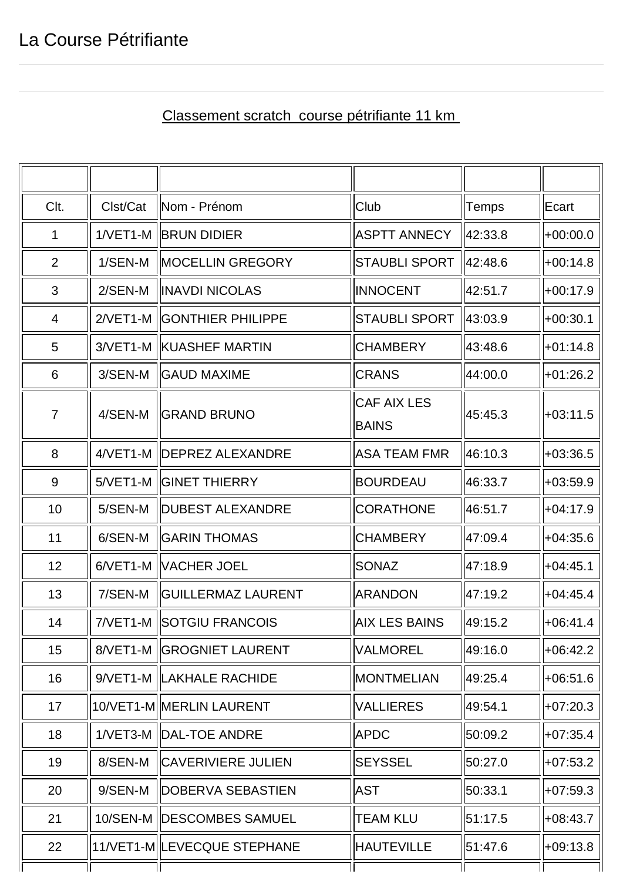## Classement scratch course pétrifiante 11 km

| Clt.           | Clst/Cat | Nom - Prénom                 | Club                               | Temps   | Ecart      |
|----------------|----------|------------------------------|------------------------------------|---------|------------|
| 1              |          | 1/VET1-M BRUN DIDIER         | <b>ASPTT ANNECY</b>                | 42:33.8 | $+00:00.0$ |
| $\overline{2}$ | 1/SEN-M  | <b>MOCELLIN GREGORY</b>      | <b>STAUBLI SPORT</b>               | 42:48.6 | $+00:14.8$ |
| 3              | 2/SEN-M  | <b>INAVDI NICOLAS</b>        | <b>INNOCENT</b>                    | 42:51.7 | $+00:17.9$ |
| $\overline{4}$ |          | 2/VET1-M  GONTHIER PHILIPPE  | <b>STAUBLI SPORT</b>               | 43:03.9 | $+00:30.1$ |
| 5              |          | 3/VET1-M   KUASHEF MARTIN    | <b>CHAMBERY</b>                    | 43:48.6 | $+01:14.8$ |
| 6              | 3/SEN-M  | <b>GAUD MAXIME</b>           | <b>CRANS</b>                       | 44:00.0 | $+01:26.2$ |
| $\overline{7}$ | 4/SEN-M  | <b>GRAND BRUNO</b>           | <b>CAF AIX LES</b><br><b>BAINS</b> | 45:45.3 | $+03:11.5$ |
| 8              |          | 4/VET1-M   DEPREZ ALEXANDRE  | <b>ASA TEAM FMR</b>                | 46:10.3 | $+03:36.5$ |
| 9              |          | 5/VET1-M   GINET THIERRY     | <b>BOURDEAU</b>                    | 46:33.7 | $+03:59.9$ |
| 10             | 5/SEN-M  | <b>DUBEST ALEXANDRE</b>      | <b>CORATHONE</b>                   | 46:51.7 | $+04:17.9$ |
| 11             | 6/SEN-M  | <b>GARIN THOMAS</b>          | <b>CHAMBERY</b>                    | 47:09.4 | $+04:35.6$ |
| 12             |          | 6/VET1-M   VACHER JOEL       | <b>SONAZ</b>                       | 47:18.9 | $+04:45.1$ |
| 13             | 7/SEN-M  | <b>GUILLERMAZ LAURENT</b>    | <b>ARANDON</b>                     | 47:19.2 | $+04:45.4$ |
| 14             |          | 7/VET1-M SOTGIU FRANCOIS     | <b>AIX LES BAINS</b>               | 49:15.2 | +06:41.4   |
| 15             |          | 8/VET1-M   GROGNIET LAURENT  | <b>VALMOREL</b>                    | 49:16.0 | $+06:42.2$ |
| 16             |          | 9/VET1-M  LAKHALE RACHIDE    | <b>MONTMELIAN</b>                  | 49:25.4 | +06:51.6   |
| 17             |          | 10/VET1-M MERLIN LAURENT     | <b>VALLIERES</b>                   | 49:54.1 | $+07:20.3$ |
| 18             |          | 1/VET3-M   DAL-TOE ANDRE     | <b>APDC</b>                        | 50:09.2 | +07:35.4   |
| 19             | 8/SEN-M  | <b>ICAVERIVIERE JULIEN</b>   | <b>SEYSSEL</b>                     | 50:27.0 | $+07:53.2$ |
| 20             | 9/SEN-M  | DOBERVA SEBASTIEN            | <b>AST</b>                         | 50:33.1 | $+07:59.3$ |
| 21             |          | 10/SEN-M IDESCOMBES SAMUEL   | <b>TEAM KLU</b>                    | 51:17.5 | $+08:43.7$ |
| 22             |          | 11/VET1-M  LEVECQUE STEPHANE | <b>HAUTEVILLE</b>                  | 51:47.6 | +09:13.8   |
|                |          |                              |                                    |         |            |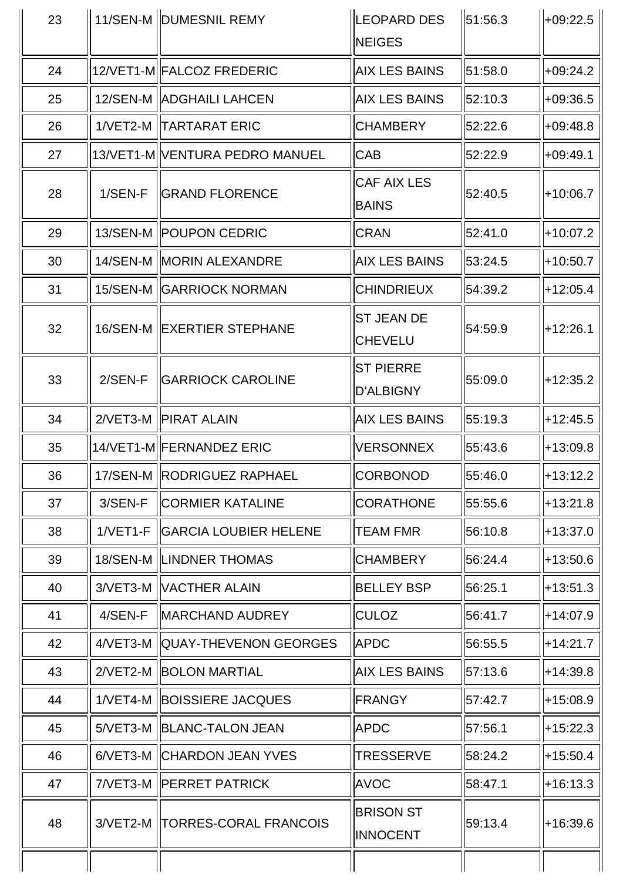| 23 |            | 11/SEN-M   DUMESNIL REMY         | <b>LEOPARD DES</b><br><b>NEIGES</b> | $\ 51:56.3\ $ | $+09:22.5$   |
|----|------------|----------------------------------|-------------------------------------|---------------|--------------|
| 24 |            | 12/VET1-M FALCOZ FREDERIC        | <b>AIX LES BAINS</b>                | 51:58.0       | +09:24.2     |
| 25 |            | 12/SEN-M   ADGHAILI LAHCEN       | <b>AIX LES BAINS</b>                | 52:10.3       | $+09:36.5$   |
| 26 |            | 1/VET2-M   TARTARAT ERIC         | <b>CHAMBERY</b>                     | 52:22.6       | $+09:48.8$   |
| 27 |            | 13/VET1-M VENTURA PEDRO MANUEL   | <b>CAB</b>                          | 52:22.9       | +09:49.1     |
| 28 | $1/SEN-F$  | <b>IGRAND FLORENCE</b>           | <b>CAF AIX LES</b><br><b>BAINS</b>  | 52:40.5       | $+10:06.7$   |
| 29 |            | 13/SEN-M   POUPON CEDRIC         | <b>CRAN</b>                         | 52:41.0       | $+10:07.2$   |
| 30 |            | 14/SEN-M   MORIN ALEXANDRE       | <b>AIX LES BAINS</b>                | 53:24.5       | $+10:50.7$   |
| 31 |            | 15/SEN-M   GARRIOCK NORMAN       | <b>CHINDRIEUX</b>                   | 54:39.2       | $+12:05.4$   |
| 32 |            | 16/SEN-M   EXERTIER STEPHANE     | <b>ST JEAN DE</b><br><b>CHEVELU</b> | 54:59.9       | +12:26.1     |
| 33 | 2/SEN-F    | <b>GARRIOCK CAROLINE</b>         | <b>ST PIERRE</b><br>D'ALBIGNY       | 55:09.0       | $+12:35.2$   |
| 34 |            | 2/VET3-M   PIRAT ALAIN           | <b>AIX LES BAINS</b>                | 55:19.3       | $+12:45.5$   |
| 35 |            | 14/VET1-M FERNANDEZ ERIC         | <b>VERSONNEX</b>                    | 55:43.6       | $+13:09.8$   |
| 36 |            | 17/SEN-M   RODRIGUEZ RAPHAEL     | <b>CORBONOD</b>                     | 55:46.0       | $ +13:12.2 $ |
| 37 | 3/SEN-F    | <b>CORMIER KATALINE</b>          | <b>CORATHONE</b>                    | 55:55.6       | $+13:21.8$   |
| 38 | $1/VET1-F$ | <b>GARCIA LOUBIER HELENE</b>     | <b>TEAM FMR</b>                     | 56:10.8       | $+13:37.0$   |
| 39 |            | 18/SEN-M   LINDNER THOMAS        | <b>CHAMBERY</b>                     | 56:24.4       | $+13:50.6$   |
| 40 |            | 3/VET3-M   VACTHER ALAIN         | <b>BELLEY BSP</b>                   | 56:25.1       | +13:51.3     |
| 41 | 4/SEN-F    | MARCHAND AUDREY                  | <b>CULOZ</b>                        | 56:41.7       | +14:07.9     |
| 42 |            | 4/VET3-M   QUAY-THEVENON GEORGES | <b>APDC</b>                         | 56:55.5       | +14:21.7     |
| 43 |            | 2/VET2-M   BOLON MARTIAL         | <b>AIX LES BAINS</b>                | 57:13.6       | +14:39.8     |
| 44 |            | 1/VET4-M   BOISSIERE JACQUES     | <b>FRANGY</b>                       | 57:42.7       | $+15:08.9$   |
| 45 |            | 5/VET3-M   BLANC-TALON JEAN      | <b>APDC</b>                         | 57:56.1       | +15:22.3     |
| 46 |            | 6/VET3-M CHARDON JEAN YVES       | TRESSERVE                           | 58:24.2       | +15:50.4     |
| 47 |            | 7/VET3-M   PERRET PATRICK        | <b>AVOC</b>                         | 58:47.1       | $+16:13.3$   |
| 48 |            | 3/VET2-M   TORRES-CORAL FRANCOIS | <b>BRISON ST</b><br><b>INNOCENT</b> | 59:13.4       | +16:39.6     |
|    |            |                                  |                                     |               |              |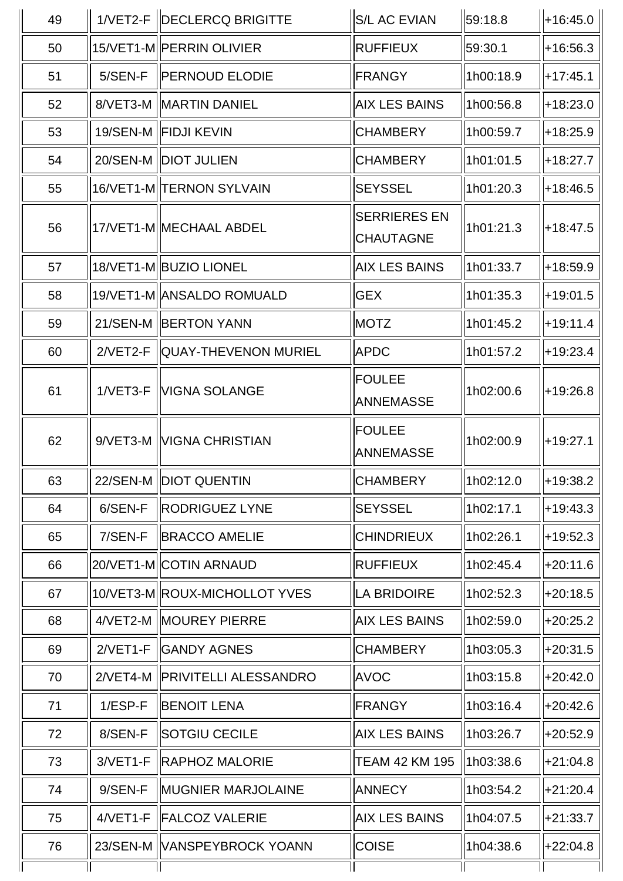| 49 |            | 1/VET2-F   DECLERCQ BRIGITTE  | <b>S/L AC EVIAN</b>                     | 59:18.8   | $+16:45.0$ |
|----|------------|-------------------------------|-----------------------------------------|-----------|------------|
| 50 |            | 15/VET1-M  PERRIN OLIVIER     | <b>RUFFIEUX</b>                         | 59:30.1   | $+16:56.3$ |
| 51 | 5/SEN-F    | <b>PERNOUD ELODIE</b>         | <b>FRANGY</b>                           | 1h00:18.9 | $+17:45.1$ |
| 52 |            | 8/VET3-M   MARTIN DANIEL      | <b>AIX LES BAINS</b>                    | 1h00:56.8 | +18:23.0   |
| 53 |            | 19/SEN-M   FIDJI KEVIN        | <b>CHAMBERY</b>                         | 1h00:59.7 | $+18:25.9$ |
| 54 |            | 20/SEN-M   DIOT JULIEN        | <b>CHAMBERY</b>                         | 1h01:01.5 | $+18:27.7$ |
| 55 |            | 16/VET1-M TERNON SYLVAIN      | <b>SEYSSEL</b>                          | 1h01:20.3 | $+18:46.5$ |
| 56 |            | 17/VET1-M MECHAAL ABDEL       | <b>SERRIERES EN</b><br><b>CHAUTAGNE</b> | 1h01:21.3 | $+18:47.5$ |
| 57 |            | 18/VET1-M BUZIO LIONEL        | <b>AIX LES BAINS</b>                    | 1h01:33.7 | +18:59.9   |
| 58 |            | 19/VET1-M ANSALDO ROMUALD     | <b>GEX</b>                              | 1h01:35.3 | +19:01.5   |
| 59 |            | 21/SEN-M   BERTON YANN        | <b>MOTZ</b>                             | 1h01:45.2 | $+19:11.4$ |
| 60 | $2/VET2-F$ | QUAY-THEVENON MURIEL          | <b>APDC</b>                             | 1h01:57.2 | $+19:23.4$ |
| 61 | $1/VET3-F$ | <b>VIGNA SOLANGE</b>          | <b>FOULEE</b><br><b>ANNEMASSE</b>       | 1h02:00.6 | +19:26.8   |
| 62 | $9/VET3-M$ | <b>VIGNA CHRISTIAN</b>        | <b>FOULEE</b><br><b>ANNEMASSE</b>       | 1h02:00.9 | $+19:27.1$ |
| 63 |            | 22/SEN-M   DIOT QUENTIN       | <b>CHAMBERY</b>                         | 1h02:12.0 | +19:38.2   |
| 64 | 6/SEN-F    | <b>RODRIGUEZ LYNE</b>         | <b>SEYSSEL</b>                          | 1h02:17.1 | $+19:43.3$ |
| 65 | 7/SEN-F    | <b>BRACCO AMELIE</b>          | <b>CHINDRIEUX</b>                       | 1h02:26.1 | $+19:52.3$ |
| 66 |            | 20/VET1-M COTIN ARNAUD        | <b>RUFFIEUX</b>                         | 1h02:45.4 | $+20:11.6$ |
| 67 |            | 10/VET3-MIROUX-MICHOLLOT YVES | LA BRIDOIRE                             | 1h02:52.3 | $+20:18.5$ |
| 68 | $4/VET2-M$ | <b>MOUREY PIERRE</b>          | AIX LES BAINS                           | 1h02:59.0 | +20:25.2   |
| 69 | $2/VET1-F$ | <b>GANDY AGNES</b>            | <b>CHAMBERY</b>                         | 1h03:05.3 | $+20:31.5$ |
| 70 | $2/VET4-M$ | <b>PRIVITELLI ALESSANDRO</b>  | <b>AVOC</b>                             | 1h03:15.8 | $+20:42.0$ |
| 71 | $1/ESP-F$  | <b>BENOIT LENA</b>            | <b>FRANGY</b>                           | 1h03:16.4 | $+20:42.6$ |
| 72 | 8/SEN-F    | <b>SOTGIU CECILE</b>          | <b>AIX LES BAINS</b>                    | 1h03:26.7 | +20:52.9   |
| 73 | 3/VET1-F   | <b>RAPHOZ MALORIE</b>         | <b>TEAM 42 KM 195</b>                   | 1h03:38.6 | +21:04.8   |
| 74 | 9/SEN-F    | <b>MUGNIER MARJOLAINE</b>     | <b>ANNECY</b>                           | 1h03:54.2 | +21:20.4   |
| 75 | $4/VET1-F$ | <b>FALCOZ VALERIE</b>         | <b>AIX LES BAINS</b>                    | 1h04:07.5 | +21:33.7   |
| 76 |            | 23/SEN-M   VANSPEYBROCK YOANN | <b>COISE</b>                            | 1h04:38.6 | +22:04.8   |
|    |            |                               |                                         |           |            |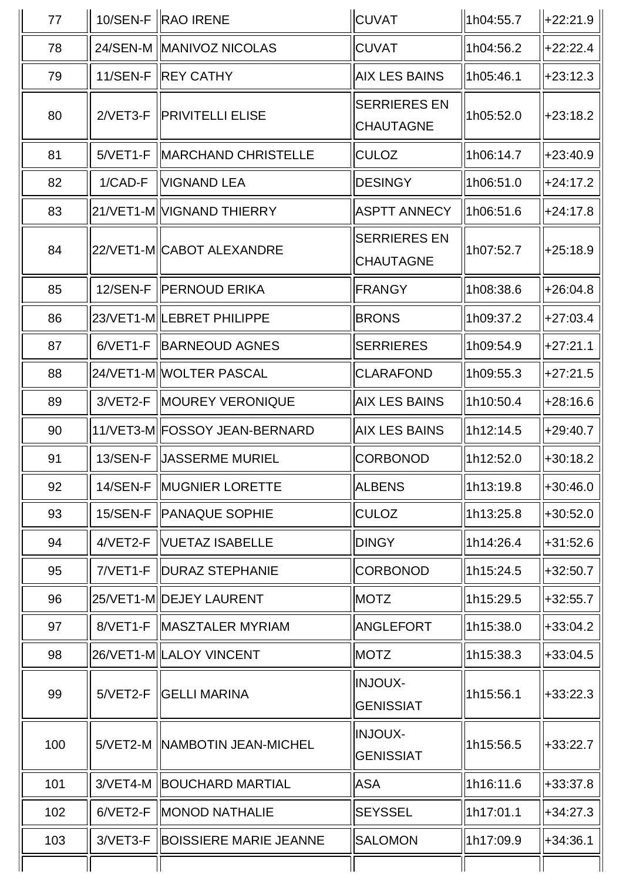| 77  |            | 10/SEN-F RAO IRENE              | <b>CUVAT</b>                            | 1h04:55.7 | ll+22:21.9   |
|-----|------------|---------------------------------|-----------------------------------------|-----------|--------------|
| 78  |            | 24/SEN-M MANIVOZ NICOLAS        | <b>CUVAT</b>                            | 1h04:56.2 | $+22:22.4$   |
| 79  |            | 11/SEN-F   REY CATHY            | <b>AIX LES BAINS</b>                    | 1h05:46.1 | $ +23:12.3 $ |
| 80  |            | 2/VET3-F IPRIVITELLI ELISE      | <b>SERRIERES EN</b><br><b>CHAUTAGNE</b> | 1h05:52.0 | $+23:18.2$   |
| 81  | $5/VET1-F$ | <b>MARCHAND CHRISTELLE</b>      | <b>CULOZ</b>                            | 1h06:14.7 | $ +23:40.9$  |
| 82  | 1/CAD-F    | <b>VIGNAND LEA</b>              | <b>DESINGY</b>                          | 1h06:51.0 | $+24:17.2$   |
| 83  |            | 21/VET1-M VIGNAND THIERRY       | <b>ASPTT ANNECY</b>                     | 1h06:51.6 | $ +24:17.8$  |
| 84  |            | 22/VET1-M CABOT ALEXANDRE       | <b>SERRIERES EN</b><br><b>CHAUTAGNE</b> | 1h07:52.7 | $ +25:18.9$  |
| 85  |            | 12/SEN-F   PERNOUD ERIKA        | <b>FRANGY</b>                           | 1h08:38.6 | $+26:04.8$   |
| 86  |            | 23/VET1-M  LEBRET PHILIPPE      | <b>BRONS</b>                            | 1h09:37.2 | $+27:03.4$   |
| 87  |            | 6/VET1-F   BARNEOUD AGNES       | <b>SERRIERES</b>                        | 1h09:54.9 | $+27:21.1$   |
| 88  |            | 24/VET1-M  WOLTER PASCAL        | <b>CLARAFOND</b>                        | 1h09:55.3 | $ +27:21.5$  |
| 89  |            | 3/VET2-F   MOUREY VERONIQUE     | <b>AIX LES BAINS</b>                    | 1h10:50.4 | $ +28:16.6$  |
| 90  |            | 11/VET3-M  FOSSOY JEAN-BERNARD  | <b>AIX LES BAINS</b>                    | 1h12:14.5 | $ +29:40.7$  |
| 91  | 13/SEN-F   | <b>UASSERME MURIEL</b>          | CORBONOD                                | 1h12:52.0 | $+30:18.2$   |
| 92  |            | 14/SEN-F MUGNIER LORETTE        | <b>ALBENS</b>                           | 1h13:19.8 | $  +30:46.0$ |
| 93  |            | 15/SEN-F   PANAQUE SOPHIE       | <b>CULOZ</b>                            | 1h13:25.8 | $+30:52.0$   |
| 94  | 4/VET2-F   | <b>NUETAZ ISABELLE</b>          | <b>DINGY</b>                            | 1h14:26.4 | $+31:52.6$   |
| 95  |            | 7/VET1-F   DURAZ STEPHANIE      | <b>CORBONOD</b>                         | 1h15:24.5 | $+32:50.7$   |
| 96  |            | 25/VET1-M DEJEY LAURENT         | <b>MOTZ</b>                             | 1h15:29.5 | $+32:55.7$   |
| 97  |            | 8/VET1-F   MASZTALER MYRIAM     | ANGLEFORT                               | 1h15:38.0 | $+33:04.2$   |
| 98  |            | 26/VET1-M LALOY VINCENT         | <b>MOTZ</b>                             | 1h15:38.3 | $+33:04.5$   |
| 99  | $5/VET2-F$ | <b>GELLI MARINA</b>             | <b>INJOUX-</b><br><b>GENISSIAT</b>      | 1h15:56.1 | $+33:22.3$   |
| 100 |            | 5/VET2-M   NAMBOTIN JEAN-MICHEL | <b>INJOUX-</b><br><b>GENISSIAT</b>      | 1h15:56.5 | $+33:22.7$   |
| 101 |            | 3/VET4-M   BOUCHARD MARTIAL     | <b>ASA</b>                              | 1h16:11.6 | $+33:37.8$   |
| 102 | 6/VET2-F   | <b>MONOD NATHALIE</b>           | <b>SEYSSEL</b>                          | 1h17:01.1 | $+34:27.3$   |
| 103 | 3/VET3-F   | <b>BOISSIERE MARIE JEANNE</b>   | <b>SALOMON</b>                          | 1h17:09.9 | $+34:36.1$   |
|     |            |                                 |                                         |           |              |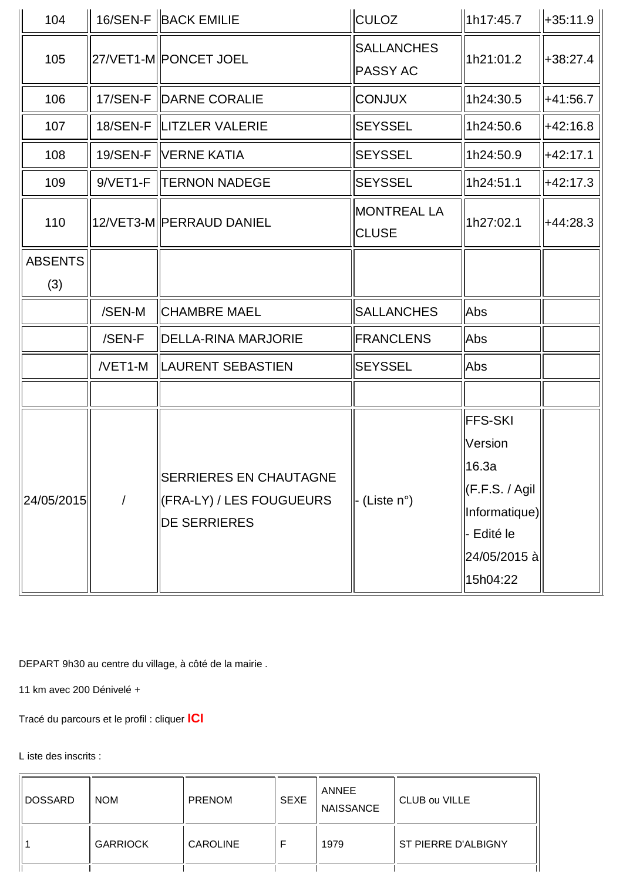| 104                   |            | 16/SEN-F BACK EMILIE                                                             | <b>CULOZ</b>                         | 1h17:45.7                                                                                                               | $+35:11.9$ |
|-----------------------|------------|----------------------------------------------------------------------------------|--------------------------------------|-------------------------------------------------------------------------------------------------------------------------|------------|
| 105                   |            | 27/VET1-M  PONCET JOEL                                                           | <b>SALLANCHES</b><br><b>PASSY AC</b> | 1h21:01.2                                                                                                               | +38:27.4   |
| 106                   |            | 17/SEN-F   DARNE CORALIE                                                         | <b>CONJUX</b>                        | 1h24:30.5                                                                                                               | +41:56.7   |
| 107                   |            | 18/SEN-F  LITZLER VALERIE                                                        | <b>SEYSSEL</b>                       | 1h24:50.6                                                                                                               | $+42:16.8$ |
| 108                   |            | 19/SEN-F   VERNE KATIA                                                           | <b>SEYSSEL</b>                       | 1h24:50.9                                                                                                               | $+42:17.1$ |
| 109                   | $9/VET1-F$ | <b>TERNON NADEGE</b>                                                             | <b>SEYSSEL</b>                       | 1h24:51.1                                                                                                               | $+42:17.3$ |
| 110                   |            | 12/VET3-M  PERRAUD DANIEL                                                        | <b>MONTREAL LA</b><br><b>CLUSE</b>   | 1h27:02.1                                                                                                               | $+44:28.3$ |
| <b>ABSENTS</b><br>(3) |            |                                                                                  |                                      |                                                                                                                         |            |
|                       | /SEN-M     | <b>CHAMBRE MAEL</b>                                                              | <b>SALLANCHES</b>                    | Abs                                                                                                                     |            |
|                       | /SEN-F     | <b>DELLA-RINA MARJORIE</b>                                                       | <b>FRANCLENS</b>                     | Abs                                                                                                                     |            |
|                       | $NET1-M$   | <b>LAURENT SEBASTIEN</b>                                                         | <b>SEYSSEL</b>                       | Abs                                                                                                                     |            |
|                       |            |                                                                                  |                                      |                                                                                                                         |            |
| 24/05/2015            | $\prime$   | <b>SERRIERES EN CHAUTAGNE</b><br>(FRA-LY) / LES FOUGUEURS<br><b>DE SERRIERES</b> | (Liste $n^{\circ}$ )                 | <b>FFS-SKI</b><br>Version<br>16.3a<br>$\Vert$ (F.F.S. / Agil<br>Informatique)<br>- Edité le<br>24/05/2015 à<br>15h04:22 |            |

DEPART 9h30 au centre du village, à côté de la mairie .

11 km avec 200 Dénivelé +

Tracé du parcours et le profil : cliquer **ICI**

L iste des inscrits :

| DOSSARD | <b>NOM</b>      | <b>PRENOM</b>   | <b>SEXE</b> | ANNEE<br><b>NAISSANCE</b> | CLUB ou VILLE       |
|---------|-----------------|-----------------|-------------|---------------------------|---------------------|
|         | <b>GARRIOCK</b> | <b>CAROLINE</b> |             | 1979                      | ST PIERRE D'ALBIGNY |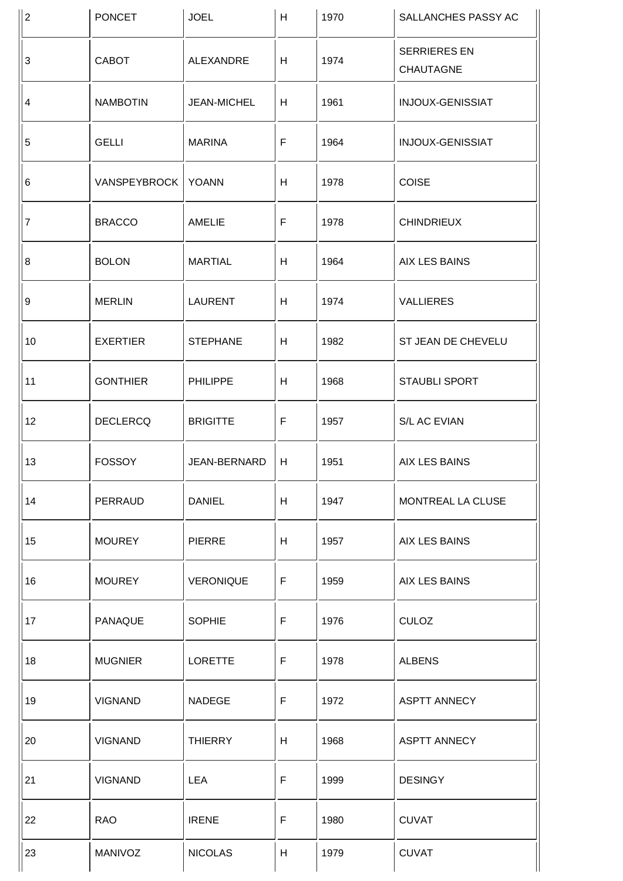| $\overline{2}$ | <b>PONCET</b>        | <b>JOEL</b>      | H            | 1970 | SALLANCHES PASSY AC              |
|----------------|----------------------|------------------|--------------|------|----------------------------------|
| $\mathbf{3}$   | CABOT                | ALEXANDRE        | H            | 1974 | <b>SERRIERES EN</b><br>CHAUTAGNE |
| $\overline{4}$ | <b>NAMBOTIN</b>      | JEAN-MICHEL      | H            | 1961 | INJOUX-GENISSIAT                 |
| 5              | <b>GELLI</b>         | <b>MARINA</b>    | $\mathsf F$  | 1964 | INJOUX-GENISSIAT                 |
| 6              | VANSPEYBROCK   YOANN |                  | H            | 1978 | <b>COISE</b>                     |
| $\overline{7}$ | <b>BRACCO</b>        | <b>AMELIE</b>    | $\mathsf F$  | 1978 | <b>CHINDRIEUX</b>                |
| 8              | <b>BOLON</b>         | <b>MARTIAL</b>   | H            | 1964 | <b>AIX LES BAINS</b>             |
| 9              | <b>MERLIN</b>        | <b>LAURENT</b>   | H            | 1974 | <b>VALLIERES</b>                 |
| 10             | <b>EXERTIER</b>      | <b>STEPHANE</b>  | H            | 1982 | ST JEAN DE CHEVELU               |
| 11             | <b>GONTHIER</b>      | <b>PHILIPPE</b>  | H            | 1968 | STAUBLI SPORT                    |
| 12             | <b>DECLERCQ</b>      | <b>BRIGITTE</b>  | $\mathsf F$  | 1957 | S/L AC EVIAN                     |
| 13             | <b>FOSSOY</b>        | JEAN-BERNARD     | H            | 1951 | AIX LES BAINS                    |
| 14             | PERRAUD              | <b>DANIEL</b>    | H            | 1947 | MONTREAL LA CLUSE                |
| 15             | <b>MOUREY</b>        | <b>PIERRE</b>    | H            | 1957 | AIX LES BAINS                    |
| 16             | <b>MOUREY</b>        | <b>VERONIQUE</b> | $\mathsf F$  | 1959 | <b>AIX LES BAINS</b>             |
| 17             | <b>PANAQUE</b>       | <b>SOPHIE</b>    | $\mathsf{F}$ | 1976 | <b>CULOZ</b>                     |
| 18             | <b>MUGNIER</b>       | <b>LORETTE</b>   | $\mathsf F$  | 1978 | <b>ALBENS</b>                    |
| 19             | <b>VIGNAND</b>       | <b>NADEGE</b>    | $\mathsf F$  | 1972 | <b>ASPTT ANNECY</b>              |
| 20             | <b>VIGNAND</b>       | <b>THIERRY</b>   | H            | 1968 | <b>ASPTT ANNECY</b>              |
| 21             | <b>VIGNAND</b>       | <b>LEA</b>       | $\mathsf F$  | 1999 | <b>DESINGY</b>                   |
| 22             | <b>RAO</b>           | <b>IRENE</b>     | $\mathsf F$  | 1980 | <b>CUVAT</b>                     |
| 23             | MANIVOZ              | <b>NICOLAS</b>   | H            | 1979 | <b>CUVAT</b>                     |